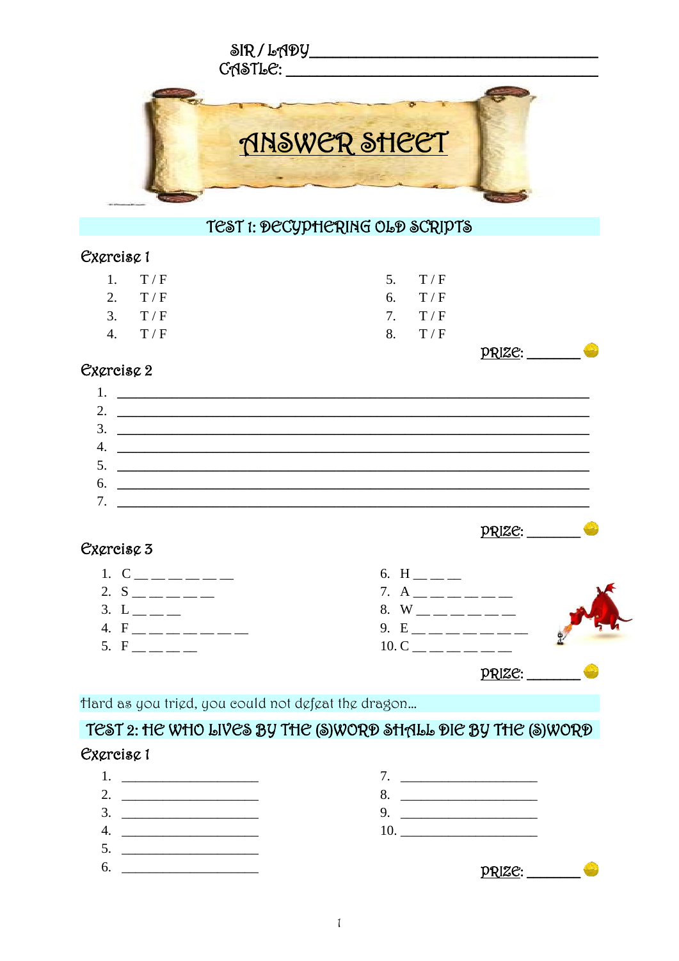

#### Cxcreisc<sub>1</sub>

| 1. T/F   | 5. $T/F$ |
|----------|----------|
| 2. $T/F$ | 6. $T/F$ |
| 3. T/F   | 7. $T/F$ |
| 4. $T/F$ | 8. $T/F$ |
|          |          |

#### Cxcreisc 2

#### $1.$ 2.  $\overline{\phantom{a}}$  $\overline{\mathbf{3.}}$ 4.  $\overline{\phantom{a}}$  $7.$

<u> PRIZE: \_\_\_\_\_\_\_\_\_</u>

 $PRIZE:$ 

## Cxgreisg 3



Hard as you trigd, you could not dgfgat the dragon...

# TEST 2: HE WHO LIVES BY THE (S)WORD SHALL DIE BY THE (S)WORD

## Excreisc 1

 $1.$  $7.$ 2.  $\qquad \qquad$ 8.  $4.$ 10.